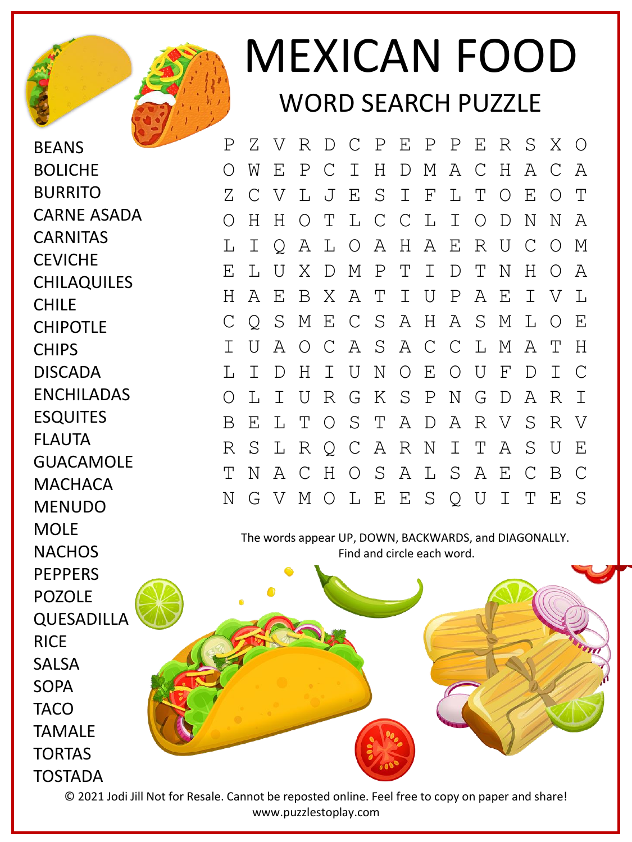

BEANS BOLICHE BURRITO

CARNE ASADA

**CHILAQUILES** 

**CARNITAS CEVICHE** 

CHIPOTLE

DISCADA

ESQUITES

FLAUTA

ENCHILADAS

**GUACAMOLF** 

**MACHACA** MENUDO

CHILE

**CHIPS** 



## MEXICAN FOOD WORD SEARCH PUZZLE

P Z V R D C P E P P E R S X O O W E P C I H D M A C H A C A Z C V L J E S I F L T O E O T O H H O T L C C L I O D N N A L I Q A L O A H A E R U C O M E L U X D M P T I D T N H O A H A E B X A T I U P A E I V L C Q S M E C S A H A S M L O E I U A O C A S A C C L M A T H L I D H I U N O E O U F D I C O L I U R G K S P N G D A R I B E L T O S T A D A R V S R V R S L R Q C A R N I T A S U E T N A C H O S A L S A E C B C N G V M O L E E S Q U I T E S

The words appear UP, DOWN, BACKWARDS, and DIAGONALLY. Find and circle each word.

MOLE **NACHOS PFPPFRS** POZOLE QUESADILLA **RICE** SALSA SOPA **TACO** TAMALE TORTAS TOSTADA

© 2021 Jodi Jill Not for Resale. Cannot be reposted online. Feel free to copy on paper and share! www.puzzlestoplay.com